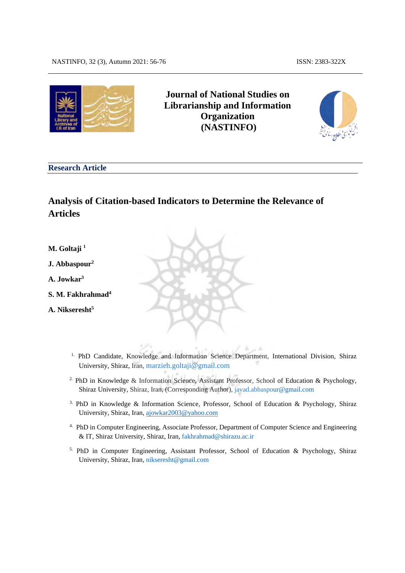

# **Journal of National Studies on Librarianship and Information Organization (NASTINFO)**



#### **Research Article**

# **Analysis of Citation-based Indicators to Determine the Relevance of Articles**

- **M. Goltaji 1**
- **J. Abbaspour2**
- **A. Jowkar3**
- **S. M. Fakhrahmad4**
- **A. Nikseresht5**
	- <sup>1.</sup> PhD Candidate, Knowledge and Information Science Department, International Division, Shiraz University, Shiraz, Iran, [marzieh.goltaji@gmail.com](mailto:marzieh.goltaji@gmail.com)

 $2.5$ 

- <sup>2.</sup> PhD in Knowledge & Information Science, Assistant Professor, School of Education & Psychology, Shiraz University, Shiraz, Iran, (Corresponding Author), javad.abbaspour@gmail.com
- 3. PhD in Knowledge & Information Science, Professor, School of Education & Psychology, Shiraz University, Shiraz, Iran, ajowkar2003@yahoo.com
- 4. PhD in Computer Engineering, Associate Professor, Department of Computer Science and Engineering & IT, Shiraz University, Shiraz, Iran[, fakhrahmad@shirazu.ac.ir](mailto:fakhrahmad@shirazu.ac.ir)
- 5. PhD in Computer Engineering, Assistant Professor, School of Education & Psychology, Shiraz University, Shiraz, Iran, nikseresht@gmail.com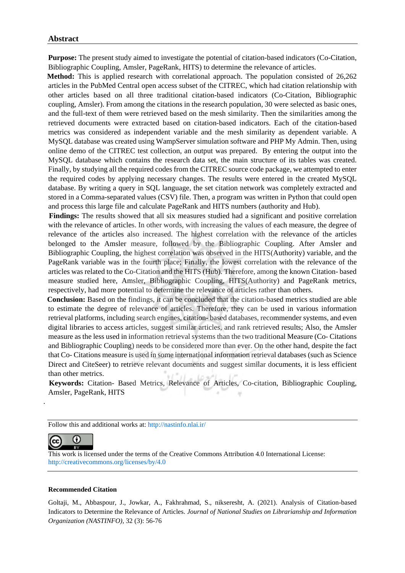#### **Abstract**

**Purpose:** The present study aimed to investigate the potential of citation-based indicators (Co-Citation, Bibliographic Coupling, Amsler, PageRank, HITS) to determine the relevance of articles.

 **Method:** This is applied research with correlational approach. The population consisted of 26,262 articles in the PubMed Central open access subset of the CITREC, which had citation relationship with other articles based on all three traditional citation-based indicators (Co-Citation, Bibliographic coupling, Amsler). From among the citations in the research population, 30 were selected as basic ones, and the full-text of them were retrieved based on the mesh similarity. Then the similarities among the retrieved documents were extracted based on citation-based indicators. Each of the citation-based metrics was considered as independent variable and the mesh similarity as dependent variable. A MySQL database was created using WampServer simulation software and PHP My Admin. Then, using online demo of the CITREC test collection, an output was prepared. By entering the output into the MySQL database which contains the research data set, the main structure of its tables was created. Finally, by studying all the required codes from the CITREC source code package, we attempted to enter the required codes by applying necessary changes. The results were entered in the created MySQL database. By writing a query in SQL language, the set citation network was completely extracted and stored in a Comma-separated values (CSV) file. Then, a program was written in Python that could open and process this large file and calculate PageRank and HITS numbers (authority and Hub).

 **Findings:** The results showed that all six measures studied had a significant and positive correlation with the relevance of articles. In other words, with increasing the values of each measure, the degree of relevance of the articles also increased. The highest correlation with the relevance of the articles belonged to the Amsler measure, followed by the Bibliographic Coupling. After Amsler and Bibliographic Coupling, the highest correlation was observed in the HITS(Authority) variable, and the PageRank variable was in the fourth place; Finally, the lowest correlation with the relevance of the articles was related to the Co-Citation and the HITS (Hub). Therefore, among the known Citation- based measure studied here, Amsler, Bibliographic Coupling, HITS(Authority) and PageRank metrics, respectively, had more potential to determine the relevance of articles rather than others.

**Conclusion:** Based on the findings, it can be concluded that the citation-based metrics studied are able to estimate the degree of relevance of articles. Therefore, they can be used in various information retrieval platforms, including search engines, citation- based databases, recommender systems, and even digital libraries to access articles, suggest similar articles, and rank retrieved results; Also, the Amsler measure as the less used in information retrieval systems than the two traditional Measure (Co- Citations and Bibliographic Coupling) needs to be considered more than ever. On the other hand, despite the fact that Co- Citations measure is used in some international information retrieval databases (such as Science Direct and CiteSeer) to retrieve relevant documents and suggest similar documents, it is less efficient than other metrics.

 **Keywords:** Citation- Based Metrics, Relevance of Articles, Co-citation, Bibliographic Coupling, Amsler, PageRank, HITS

Follow this and additional works at[: http://nastinfo.nlai.ir/](http://nastinfo.nlai.ir/)

#### O (cc BY.

.

This work is licensed under the terms of the Creative Commons Attribution 4.0 International License: <http://creativecommons.org/licenses/by/4.0>

#### **Recommended Citation**

Goltaji, M., Abbaspour, J., Jowkar, A., Fakhrahmad, S., nikseresht, A. (2021). Analysis of Citation-based Indicators to Determine the Relevance of Articles. *Journal of National Studies on Librarianship and Information Organization (NASTINFO),* 32 (3): 56-76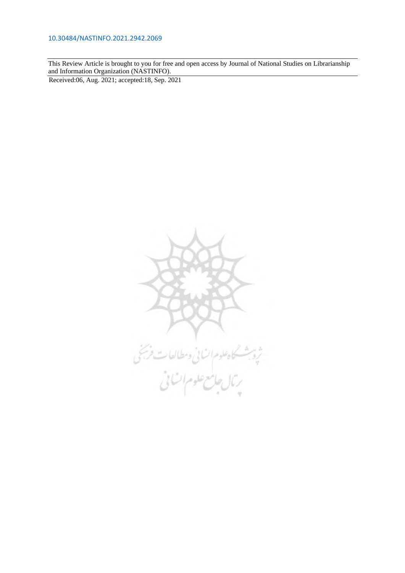This Review Article is brought to you for free and open access by Journal of National Studies on Librarianship and Information Organization (NASTINFO).

Received:06, Aug. 2021; accepted:18, Sep. 2021

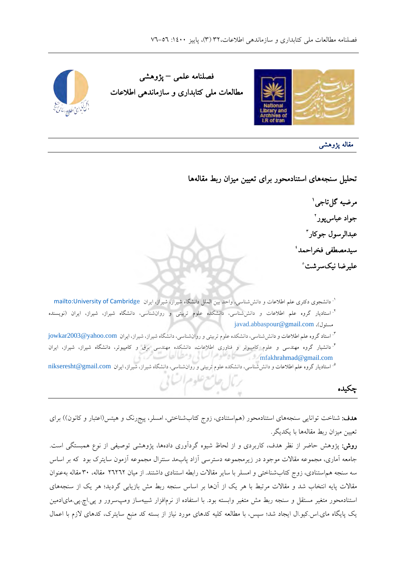

فصلنامه علمی **–** پژوهشی مطالعات ملی کتابداري و سازماندهی اطلاعات



مقاله پژوهشی

تحلیل سنجه هاي استنادمحور براي تعیین میزان ربط مقاله ها

 مرضیه گل تاجی  جواد عباس پور عبدالرسول جوکار سیدمصطفی فخراحمد علیرضا نیک سرشت

دانشجوي دکتري علم اطلاعات و دانش شناسی، واحد بین الملل دانشگاه شیراز، شیراز، ایران [Cambridge of University:mailto](mailto:University%20of%20Cambridge) .<sup>۱</sup> <sup>۰.</sup> استادیار گروه علم اطلاعات و دانش $\check{\pi}$ سی، دانشکده علوم تربیتی و روان $\check{\pi}$ سی، دانشگاه شیراز، شیراز، ایران (نویسنده javad.abbaspour@gmail.com ،(مسئول استاد گروه علم اطلاعات و دانش شناسی، دانشکده علوم تربیتی و روان شناسی، دانشگاه شیراز، شیراز، ایران com.yahoo@2003jowkar .<sup>۳</sup> دانشیار گروه مهندسی و علوم کامپیوتر و فناوري اطلاعات، دانشکده مهندسی برق و کامپیوتر، دانشگاه شیراز، شیراز، ایران .<sup>۴</sup>

<sup>۵.</sup> استادیار گروه علم اطلاعات و دانش شناسی، دانشکده علوم تربیتی و روان شناسی، دانشگاه شیراز، شیراز، ایران nikseresht@gmail.com

چکیده

هدف: شناخت توانایی سنجههای استنادمحور (هم استنادی، زوج کتابشناختی، امسلر، پیجرنک و هیتس(اعتبار و کانون)) برای تعیین میزان ربط مقالهها با یکدیگر.

**روش**: پژوهش حاضر از نظر هدف، کاربردی و از لحاظ شیوه گردآوری دادهها، پژوهشی توصیفی از نوع همبستگی است. جامعه آماري، مجموعه مقالات موجود در زیرمجموعه دسترسی آزاد پابمد سنترال مجموعه آزمون سایترک بود که بر اساس سه سنجه هم استنادي، زوج کتاب شناختی و امسلر با سایر مقالات رابطه استنادي داشتند. از میان 26262 30مقاله، مقاله به عنوان مقالات پایه انتخاب شد و مقالات مرتبط با هر یک از آنها بر اساس سنجه ربط مش بازیابی گردید؛ هر یک از سنجههای استنادمحور متغیر مستقل و سنجه ربط مش متغیر وابسته بود. با استفاده از نرمافزار شبیهساز ومپسرور و پی اچ پی مای ادمین یک پایگاه مای.اس.کیو ال ایجاد شد؛ سپس، با مطالعه کلیه کدهای مورد نیاز از بسته کد منبع سایترک، کدهای لازم با اعمال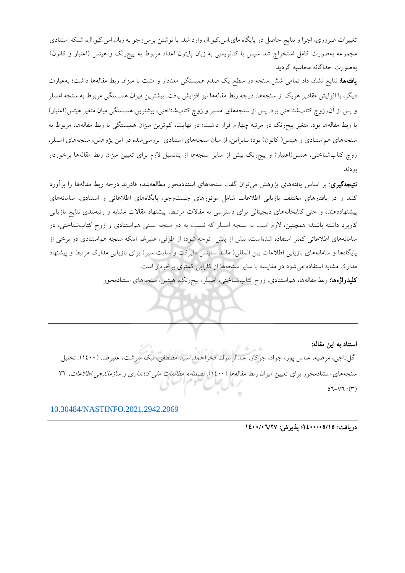تغییرات ضروري، اجرا و نتایج حاصل در پایگاه ماي.اس.کیو.ال وارد شد. با نوشتن پرس<code>وجو به</code> زبان اس.کیو.ال، شبکه استنادي مجموعه به صورت کامل استخراج شد سپس با کدنویسی به زبان پایتون اعداد مربوط به پیج رنک و هیتس (اعتبار و کانون) به صورت جداگانه محاسبه گردید.

**یافتهها:** نتایج نشان داد تمامی شش سنجه در سطح یک صدم همبستگی معنادار و مثبت با میزان ربط مقالهها داشت؛ بهعبارت دیگر، با افزایش مقادیر هریک از سنجهها، درجه ربط مقالهها نیز افزایش یافت. بیشترین میزان همبستگی مربوط به سنجه امسلر و پس از آن، زوج کتاب شناختی بود. پس از سنجههای امسلر و زوج کتاب شناختی، بیشترین همبستگی میان متغیر هیتس(اعتبار) با ربط مقالهها بود. متغیر پیجرنک در مرتبه چهارم قرار داشت؛ در نهایت، کمترین میزان همبستگی با ربط مقالهها، مربوط به سنجههاي هم استنادي و هيتس( کانون) بود؛ بنابراين، از ميان سنجههاي استنادي بررسي شده در اين پژوهش، سنجههاي امسلر، زوج کتاب شناختی، هیتس(اعتبار) و پیجرنک بیش از سایر سنجهها از پتانسیل لازم برای تعیین میزان ربط مقالهها برخوردار بودند.

<mark>نتیجهگیری:</mark> بر اساس یافتههای پژوهش می توان گفت سنجههای استنادمحور مطالعهشده قادرند درجه ربط مقالهها را برآورد کنند و در بافتارهاي مختلف بازيابی اطلاعات شامل موتورهاي جست وجو، پايگاههاي اطلاعاتی و استنادي، سامانههاي پیشنهاددهنده و حتی کتابخانههای دیجیتالی برای دسترسی به مقالات مرتبط، پیشنهاد مقالات مشابه و رتبهبندی نتایج بازیابی کاربرد داشته باشند؛ همچنین، لازم است به سنجه امسلر که نسبت به دو سنجه سنتی هماستنادي و زوج کتابشناختی، در سامانههای اطلاعاتی کمتر استفاده شدهاست، بیش از پیش توجه شود؛ از طرفی، علیرغم اینکه سنجه هماستنادی در برخی از پایگاه ها و سامانه هاي بازیابی اطلاعات بین المللی( مانند ساینس دایرکت و سایت سیر) براي بازیابی مدارك مرتبط و پیشنهاد مدارک مشابه استفاده می شود در مقایسه با سایر سنجهها از کارایی کمتری برخودار است. <mark>کلیدواژهها:</mark> ربط مقالهها، هم|ستنادی، زوج کتابشناختی، امسلر، پیجرنک، هیتس، سنجههای استنادمحور

استناد به این مقاله: گل تاجی، مرضیه، عباس پور، جواد، جوکار، عبدالرسول، فخراحمد، سید مصطفی، نیک سرشت، علیرضا. (١٤٠٠). تحلیل سنجههاي استنادمحور براي تعیین میزان ربط مقالهها (١٤٠٠). فصلنامه م*طالعات مل<sub>ی</sub> کتابداري و سازماندهی اطلاعات*، ٣٢  $07-Y7$ :  $(Y)$ 

[10.30484/NASTINFO.2021.2942.2069](https://dx.doi.org/10.30484/nastinfo.2021.2942.2069)

دريافت: 0//0 /05 12 يذير ش: 7/27 16 /05 16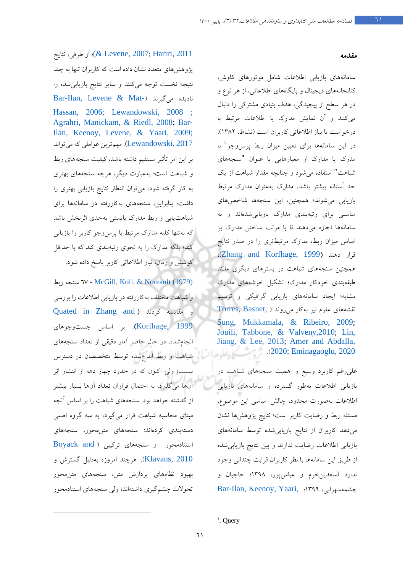[2011 ,Hariri](#page-16-1); [2007 ,Levene\(&](#page-15-1) ؛ ،از طرفی نتایج پژوهش هاي متعدد نشان داده است که کاربران تنها به چند نتیجه نخست توجه میکنند و سایر نتایج بازیابی شده را [Bar-Ilan, Levene & Mat-](#page-15-2)) گیرند می نادیده [Hassan, 2006;](#page-15-2) [Lewandowski, 2008](#page-16-2) ; [Agrahri, Manickam, & Riedl, 2008;](#page-14-1) [Bar](#page-15-3)‐ [Ilan, Keenoy, Levene, & Yaari, 2009;](#page-15-3) Lewandowski, 2017). مهم ترین عواملی که می تواند بر این امر تأثیر مستقیم داشته باشد، کیفیت سنجههاي ربط و شباهت است؛ بهعبارت دیگر، هرچه سنجه هاي بهتري به کار گرفته شود، میتوان انتظار نتایج بازیابی بهتري را داشت؛ بنابراین، سنجه هاي به کاررفته در سامانه ها براي شباهت یابی و ربط مدارك بایستی بهحدي اثربخش باشد که نه تنها کلیه مدارک مرتبط با پرس وجو کاربر را بازیابی کند؛ بلکه مدارک را به نحوي رتبهبندي کند که با حداقل کوشش و زمان، نیاز اطلاعاتی کاربر پاسخ داده شود .

 ربط سنجه 67 ، [McGill, Koll, & Noreault \(1979\)](#page-17-0) و شباهت مختلف به کاررفته در بازیابی اطلاعات را بررسی Quated in [Zhang and](#page-18-0) ) کردند مقایسه و [1999 ,Korfhage](#page-18-0)(. بر اساس و جست جوهاي انجام شده، در حال حاضر آمار دقیقی از تعداد سنجههای شباهت و ربط شدهابداع توسط متخصصان در دسترس نیست؛ ولی اکنون که در حدود چهار دهه از انتشار اثر آنها می گذرد، به احتمال فراوان تعداد آنها بسیار بیشتر از گذشته خواهد .بود سنجههاي شباهت را بر اساس آنچه مبناي محاسبه شباهت قرار میگیرد، به سه گروه اصلی دستهبندي كردهاند: سنجههاي متنαحور، سنجههاي استنادمحور و سنجه هاي ترکیبی ( [and Boyack](#page-15-4) [2010 ,Klavans](#page-15-4)(. هرچند امروزه به دلیل گسترش و بهبود نظام هاي پردازش متن، سنجه هاي متن محور تحولات چشم گیري داشتهاند؛ ولی سنجههاي استنادمحور

#### مقدمه

سامانه هاي بازیابی اطلاعات شامل موتورهاي کاوش، کتابخانه هاي دیجیتال و پایگاه هاي اطلاعاتی، از هر نوع و در هر سطح از پیچیدگی، هدف بنیادي مشترکی را دنبال می كنند و آن نمایش مدارك یا اطلاعات مرتبط با درخواست یا نیاز اطلاعاتی کاربران است (نشاط، ١٣٨٢). با [1](#page-5-0) در این سامانه ها براي تعیین میزان ربط پرسوجو مدرك یا مدارك از معیارهایی با عنوان "سنجههاي شباهت" استفاده میشود و چنانچه مقدار شباهت از یک حد آستانه بیشتر باشد، عمدارك به نوان مدارك مرتبط بازیابی می شوند؛ همچنین، این سنجهها شاخصهای مناسبی براي رتبهبندي مدارك بازیابی شدهاند و به هاسامانه اجازه میدهند تا با مرتب ساختن مدارك بر اساس میزان ربط، مدارك مرتبطتري را در صدر نتایج قرار دهند (Zhang and Korfhage, 1999)؛ همچنین سنجه هاي شباهت در بسترهاي دیگري مانند طبقهبندي خودکار مدارك؛ تشکیل خوشههاي مدارك مشابه؛ ایجاد سامانههاي بازیابی گرافیکی و ترسیم نقشه هاي علوم نیز کهب ار میروند ( [,Basnet ,Torres](#page-18-1) [Sung, Mukkamala, & Ribeiro, 2009](#page-18-1); Jouili, Tabbone, & Valveny, 2010; Lin, [Jiang, & Lee, 2013;](#page-16-0) [Amer and Abdalla,](#page-14-0)  .([2020;](#page-14-0) [Eminagaoglu, 2020](#page-15-0)

علی رغم کاربرد وسیع و اهمیت سنجههاي شباهت در بازیابی اطلاعات به طور گسترده و سامانه هاي بازیابی اطلاعات به صورت محدود، چالش اساسی این موضوع، مسئله ربط و رضایت کاربر است؛ نتایج پژوهشها نشان میدهد کاربران از نتایج بازیابی شده توسط سامانههای بازیابی اطلاعات رضایت ندارند و بین نتایج بازیابیشده از طریق این سامانه ها با نظر کاربران قرابت چندانی وجود ندارد (سعدین پخرم و عباس ور، 1398؛ حاجیان و Bar‐[Ilan, Keenoy, Yaari,](#page-15-1) ؛1399 ،سهرابی چشمه

<span id="page-5-0"></span><sup>&</sup>lt;sup>1</sup>. Query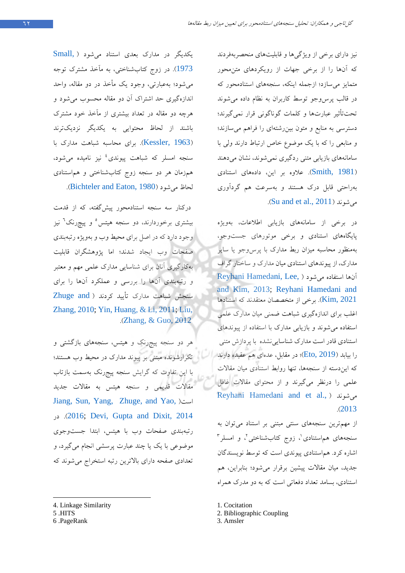نیز داراي برخی از ویژگیها و قابلیتهاي منحصربهفردند که آن ها را از برخی جهات از رویکردهاي متن محور متمایز میسازد؛ ازجمله اینکه، سنجههاي استنادمحور که در قالب پرس وجو توسط کاربران به نظام داده می شوند تحت تأثیر عبارتها و کلمات گوناگونی قرار نمی گیرند؛ دسترسی به منابع و متون بین رشتهای را فراهم می سازند؛ و منابعی را که با یک موضوع خاص ارتباط دارند ولی با سامانههاي بازیابی متنی ردگیری نمی شوند، نشان می دهند (Smith, 1981). علاوه بر این، دادههای استنادی به راحتی قابل درك هستند و بهسرعت هم گردآوري .( [Su and et al., 2011](#page-18-2) می شوند(

رد برخی از سامانه هاي بازیابی اطلاعات، به ویژه پایگاههای استنادی و برخی موتورهای جست وجو، به منظور محاسبه میزان ربط مدارك با پرسوجو یا سایر مدارك، از پیوندهاي استنادي میان مدارك و ساختار گراف Reyhani Hamedani, Lee, ) آنها استفاده می شود [and Kim, 2013;](#page-17-2) Reyhani Hamedani and برخی از متخصصان معتقدند که استنادها. $\mathop{\rm Kim}\nolimits,2021$ اغلب براي اندازهگیري شباهت ضمنی میان مدارك علمی استفاده میشوند و بازیابی مدارك با استفاده از پیوندهاي استنادي قادر است مدارك شناسایینشده با پردازش متنی را بیابد ([2019 ,Eto](#page-15-5))؛ در مقابل، عدهای هم عقیده دارند که ایندسته از سنجهها، تنها روابط استنادي میان مقالات علمی را درنظر میگیرند و از محتواي مقالات غافل [Reyhani Hamedani and et al.,](#page-17-2) میشوند ( .([2013](#page-17-2)

از مهمترین سنجه هاي سنتی مبتنی بر استناد تمی وان به سنجههای هم|ستنادی'[،](#page-6-1) زوج کتابشناختی<sup>۲</sup>، و امسلر<sup>۳</sup> اشاره کرد. هم استنادي پیوندي است که توسط نویسندگان جدید، میان مقالات پیشین برقرار میشود؛ بنابراین، هم استنادي، بسامد تعداد دفعاتی است که به دو مدرك همراه

[1](#page-6-2). Cocitation

- 2. Bibliographic Coupling
- 3. Amsler

یکدیگر در مدارك بعدي استناد می شود ( [,Small](#page-17-3) [1973](#page-17-3)). در زوج کتابشناختی، به مآخذ مشترك توجه میشود؛ به عبارتی، وجود یک مأخذ در دو مقاله، واحد اندازهگیری حد اشتراک آن دو مقاله محسوب می شود و هرچه دو مقاله در تعداد بیشتري از مآخذ خود مشترك باشند از لحاظ محتوایی به یکدیگر نزدیکتر ند (Kessler, 1963). براي محاسبه شباهت مدارك با سنجه امسلر که شباهت پیوندی<sup>،</sup> نیز نامیده می شود، همزمان هر دو سنجه زوج کتاب مشناختی و ه استنادي لحاظ شود ( می 1980 ,Eaton [and Bichteler](#page-7-0)( .

درکنار سه سنجه استنادمحور پیش گفته، که از قدمت بیشتری برخوردارند، دو سنجه هیتس° و پیچرنک<sup>7</sup> نیز وجود دارد که در اصل براي محیط وب و بهويژه رتبهبندي صفحات وب ایجاد شدند؛ اما پژوهشگران قابلیت به کارگیري آنان براي شناسایی مدارك علمی مهم و معتبر و رتبهبندي آنها را بررسی و عملکرد آنها را براي سنجش شباهت مدارك تأیید کردند ( [and Zhuge](#page-18-3) [Zhang, 2010;](#page-18-3) [Yin, Huang, & Li, 2011;](#page-18-4) [Liu,](#page-17-4)  .([Zhang, & Guo, 2012](#page-17-4)

هر دو سنجه پیجرنک و هیتس، سنجههاي بازگشتی و تکرارشونده مبتنی بر پیوند مدارك در محیط وب هستند؛ با این تفاوت که گرایش سنجه پیجرنک بهسمت بازتاب مقالات قدیمی و سنجه هیتس به مقالات جدید [Jiang, Sun, Yang, Zhuge, and Yao,](#page-16-5) )است در .)[2016](#page-16-5) [;](#page-16-5)[Devi, Gupta and Dixit, 2014](#page-15-6) رتبهبندي صفحات وب با هیتس، ابتدا جستوجوي موضوعی با یک یا چند عبارت پرسشی انجام می گیرد، و تعدادي صفحه داراي بالاترین رتبه استخراج میشوند که

- <span id="page-6-0"></span>4. Linkage Similarity
- <span id="page-6-1"></span>5 .HITS
- <span id="page-6-2"></span>6 .PageRank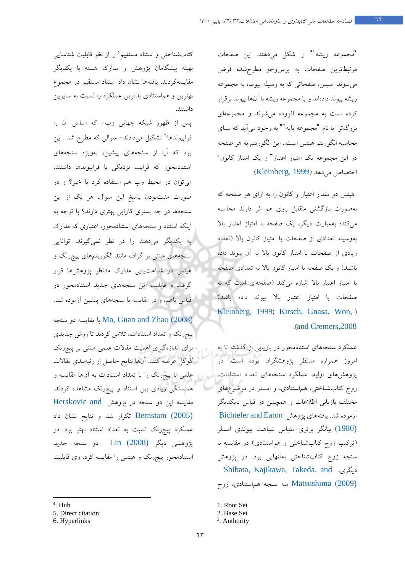"*مجموعه* ریشه<sup>\</sup>" را شکل میدهند. این صفحات مرتبطترین صفحات به پرس وجو مطرحشده فرض .شوندمی سپس، صفحاتی که به وسیله پیوند، به مجموعه ریشه پیوند دادهاند و یا مجموعه ریشه با آنها پیوند برقرار کرده است به مجموعه افزوده میشوند و مجموعهاي بزرگتر با نام "مجموعه پایه `" به وجود میآید که مبنای محاسبه الگوریتم هیتس است.. این الگوریتم به هر صفحه در این مجموعه یک امتیاز اعتبار<sup>۳</sup> و یک امتیاز کانون<sup>،</sup> اختصاص می دهد (Kleinberg, 1999).

هیتس دو مقدار اعتبار و کانون را به ازاي هر صفحه که به صورت بازگشتی متقابل روي هم اثر دارند محاسبه میکند؛ بهعبارت دیگر، یک صفحه با امتیاز اعتبار بالا به وسیله تعدادي از صفحات با امتیاز کانون بالا (تعداد زیادي از صفحات با امتیاز کانون بالا به آن پیوند داده باشند) و یک صفحه با امتیاز کانون بالا به تعدادي صفحه با امتیاز اعتبار بالا اشاره میکند (صفحهاي است که به صفحات با امتیاز اعتبار بالا پیوند داده باشد ) [Kleinberg, 1999;](#page-16-6) [Kirsch, Gnasa, Won,](#page-16-7) ) ( . [and Cremers,2008](#page-16-7)

عملکرد سنجه هاي استنادمحور در بازیابی از گذشته تا به امروز همواره مدنظر پژوهشگران بوده است. در پژوهش هاي اولیه، عملکرد سنجههاي تعداد استنادات، زوج کتاب شناختی، هماستنادي، و امسلر در موضوعهاي مختلف بازیابی اطلاعات و همچنین در قیاس بایکدیگر هآزموده شد. یافت هاي پژوهش [Eaton and Bichteler](#page-7-0) [\(1980\)](#page-7-0) بیانگر برتري مقیاس شباهت پیوندي امسلر (ترکیب زوج کتابشناختی و هماستنادي) در مقایسه با سنجه زوج کتابشناختی بهتنهایی بود. در پژوهش [Shibata, Kajikawa, Takeda, and](#page-17-3) ،دیگري (2009) [Matsushima](#page-17-3) سه سنجه هماستنادي، زوج

3 . Authority

کتاب شناختی و استناد مستقیم° را از نظر قابلیت شناسایی بهینه پیشگامان پژوهش و مدارك هسته با یکدیگر مقایسه کردند. یافتهها نشان داد استناد مستقیم در مجموع بهترین و هم استنادي بدترین عملکرد را نسبت به سایرین داشتند.

پس از ظهور شبکه جهانی وب- که اساس آن را فراپیوندها<sup>٬</sup> تشکیل میدادند- سوالی که مطرح شد این بود که آیا از سنجههاي پیشین، بهویژه سنجههاي استنادمحور که قرابت نزدیکی با فراپیوندها داشتند، میتوان در محیط وب هم استفاده کرد یا خیر؟ و در صورت مثبتبودن پاسخ این سوال، هر یک از این سنجهها در چه بستري کارایی بهتري دارند؟ با توجه به اینکه استناد و سنجههای استنادمحور، اعتباری که مدارک به یکدیگر میدهند را در نظر نمیگیرند، توانایی سنجههاي مبتنی بر گراف مانند الگوریتمهاي پیجرنک و هیتس در شباهتیابی مدارك مدنظر پژوهش ها قرار گرفت و قابلیت این سنجههاي جدید استنادمحور در قیاس باهم، و در مقایسه با سنجه هاي پیشین آزموده شد.

(2008) Zhao [and Guan ,Ma](#page-17-5) [ب](#page-7-3)ا مقایسه دو سنجه پیجرنک و تعداد استنادات، تلاش کردند تا روش جدیدي براي اندازه گیري اهمیت مقالات علمی مبتنی بر پیجرنک گوگل عرضه کنند. آنها نتایج حاصل از رتبه بندي مقالات علمی با پیجرنک را با تعداد استنادات به آنها مقایسه و همبستگی زیادي بین استناد و پیجرنک مشاهده کردند. مقایسه این دو سنجه در پژوهش [and Herskovic](#page-16-8) [\(2005\) Bernstam](#page-16-8) تکرار شد و نتایج نشان داد عملکرد پیج رنک نسبت به تعداد استناد بهتر بود. در پژوهشی دیگر [\(2008\) Lin](#page-16-9) دو سنجه جدید استنادمحور پیجرنک و هیتس را مقایسه کرد. وي قابلیت

4 . Hub

<span id="page-7-0"></span> $LO =$ 

<sup>1.</sup> Root Set

<sup>2.</sup> Base Set

<span id="page-7-2"></span><span id="page-7-1"></span><sup>5.</sup> Direct citation

<span id="page-7-3"></span><sup>6.</sup> Hyperlinks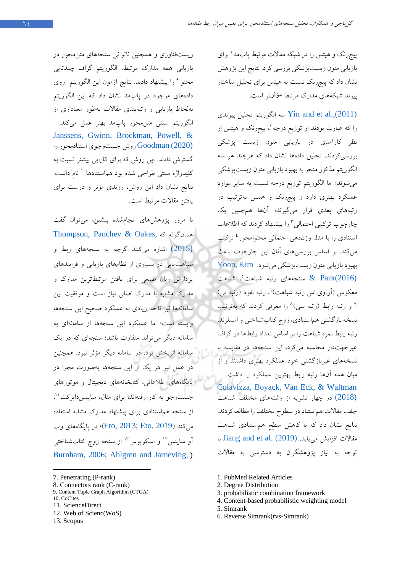پیجرنک و هیتس را در شبکه مقالات مرتبط پابمد براي [1](#page-8-0) بازیابی متون زیستپزشکی بررسی کرد. نتایج این پژوهش نشان داد که پیجرنک نسبت به هیتس براي تحلیل ساختار شبکه پیوند هاي مدارك مرتبط مؤثر تر است.

سه الگوریتم تحلیل پیوندی Yin and et al.,  $(2011)$ را که عبارت بودند از توزیع درجه <sup>۲</sup>، پیجرنک و هیتس از نظر کارآمدي در بازیابی متون زیست پزشکی بررسی کردند. تحلیل داده ها نشان داد که هرچند هر سه الگوریتم مذکور منجر به بهبود بازیابی متون زیستپزشکی میشوند؛ اما الگوریتم توزیع درجه نسبت به سایر موارد عملکرد بهتري دارد و پیج رنک و هیتس بهترتیب در رتبههاي بعدي قرار میگیرند؛ آنها هم چنین یک چارچوب ترکیبی احتمالی " را پیشنهاد کردند که اطلاعات استنادی را با مدل وزندهی احتمالی محتوامحور<sup>،</sup> ترکیب میکند. بر اساس بررسیهای آنان این چارچوب باعث  $Y$ oon, Kim بهبود بازیابی متون زیست پزشکی می شود. شباهت  $\&$  [Park](#page-18-5) (2016) ( Park  $(2016)$ معکوس (آر.وي.اس رتبه شباهت)<sup>7</sup>، رتبه نفود (رتبه پي) و رتبه رابط (رتبه سی)^ را معرفی کردند که بهترتیب  $^{\vee}$ نسخه بازگشتی هماستنادي، زوج کتابشناختی و امسلرند. رتبه رابط نمره شباهت را بر اساس تعداد رابطها در گراف غیرجهتدار محاسبه میکرد، این سنجهها در مقایسه با نسخه هاي غیربازگشتی خود عملکرد بهتري داشتند و از میان همه آن ها رتبه رابط بهترین عملکرد را داشت. [Colavizza, Boyack, Van Eck, & Waltman](#page-15-7) [\(2018\)](#page-15-7) در چهار نشریه از رشتههاي مختلف شباهت جفت مقالات هماستناد در سطوح مختلف را مطالعهکردند. نتایج نشان داد که با کاهش سطح هماستنادي شباهت مقالات افزایش می یابد. Jiang and et al. (2019) با توجه به نیاز پژوهشگران به دسترسی به مقالات

زیستفناوری و همچنین ناتوانی سنجههای متن محور در بازیابی همه مدارك مرتبط، الگوریتم گراف چندتایی محتوا<sup>۹</sup> را پیشنهاد دادند. نتایج آزمون این الگوریتم روی دادههاي موجود در پابمد نشان داد که این الگوریتم به لحاظ بازیابی و رتبهبندی مقالات به طور معناداری از الگوریتمسنتی متن محور پابمد بهتر عمل میکند. [Janssens, Gwinn, Brockman, Powell, &](#page-16-11)  روش جست وجوي استنادمحور را Goodman (2020) گسترش دادند. این روش که براي کارایی بیشتر نسبت به کلیدواژه سنتی طراحی شده بود هماستنادها `` نام داشت. نتایج نشان داد این روش، روندی مؤثر و درست برای یافتن مقالات مرتبط است.

با مرور پژوهشهاي انجام شده پیشین، توان گفت می همان گونه که [,Oakes & Panchev ,Thompson](#page-18-6) (2015) اشاره میکنند گرچه به سنجه هاي ربط و شباهت یابی در بسیاري از نظام هاي بازیابی و فرایندهاي پردازش زبان طبیعی براي یافتن مرتبطتر نی و مدارك مدارك مشابه با مدرك اصلی نیاز است و موفقیت این سامانهها نیز تاحد زیادی به عملکرد صحیح این سنجهها وابسته است؛ اما عملکرد این سنجهها از سامانهاي به سامانه دیگر میتواند متفاوت باشد؛ سنجه اي که در یک سامانه اثربخش بود، در سامانه مؤثردیگر نبود. همچنین در عمل نیز هر یک از این سنجه ها به صورت مجزا در پایگاه هاي اطلاعاتی، کتابخانه هاي دیجیتال و موتورهاي جست وجو به کار رفته اند؛ براي مثال، ساینس دایرکت ''، از سنجه هم|ستنادي براي پيشنهاد مدارک مشابه استفاده کند (می [2019 ,Eto](#page-15-5)[;](#page-15-0)[2013 ,Eto](#page-15-0)(؛ در پایگاه هاي وب آو ساینس <sup>۱۲</sup> و اسکوپوس <sup>۱۳</sup> از سنجه زوج کتابشناختی [Burnham, 2006;](#page-15-8) [Ahlgren and Jarneving, \)](#page-14-2)

- <span id="page-8-6"></span><span id="page-8-3"></span><span id="page-8-2"></span>9. Content Tuple Graph Algorithm (CTGA) 10. CoCites
- <span id="page-8-7"></span><span id="page-8-4"></span>11. ScienceDirect
- <span id="page-8-8"></span><span id="page-8-5"></span>12. Web of Scienc(WoS)
- <span id="page-8-9"></span>13. Scopus
- 1. PubMed Related Articles
- 2. Degree Distribution
- 3. probabilistic combination framework
- 4. Content-based probabilistic weighting model
- 5. Simrank
- 6. Reverse Simrank(rvs-Simrank)

<span id="page-8-0"></span><sup>7.</sup> Penetrating (P-rank)

<span id="page-8-1"></span><sup>8.</sup> Connectors rank (C-rank)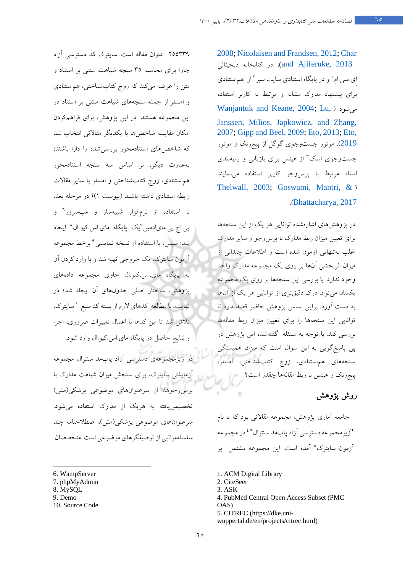[2008;](#page-14-2) [Nicolaisen and Frandsen, 2012;](#page-17-6) [Char](#page-15-9)  [2013 ,Ajiferuke and\(](#page-15-9)، در کتابخانه دیجیتالی ای.سی.امٰ و در پایگاه استنادی سایت سیر <sup>۲</sup> از هماستنادی براي پیشنهاد مدارك مشابه و مرتبط به کاربر استفاده [Wanjantuk and Keane, 2004;](#page-18-7) [Lu,](#page-17-7) ) شودمی [Janssen, Milios, Japkowicz, and Zhang,](#page-17-7)  [2007;](#page-17-7) [Gipp and Beel, 2009;](#page-15-10) [Eto, 2013;](#page-15-0) [Eto,](#page-15-5)  [2019](#page-15-5)). موتور جستوجوی گوگل از پیجرنک و موتور جستوجوی اسک <sup>۳</sup> از هیتس برای بازیابی و رتبهبندی اسناد مرتبط با پرسوجو کاربر استفاده مینمایند [Thelwall, 2003;](#page-18-8) [Goswami, Mantri, &](#page-16-12) ) .([Bhattacharya, 2017](#page-16-12)

در پژوهشهای اشارهشده توانایی هر یک از این سنجهها براي تعیین میزان ربط مدارك با پرسوجو و سایر مدارك اغلب به تنهایی آزمون شده است و اطلاعات چندانی از میزان اثربخشی آنها بر روي یک مجموعه مدارك واحد وجود ندارد. با بررسی این سنجه ها بر روي یک مجموعه یکسان می توان درك دقیق تري از توانایی هر یک از آنها به دست آورد. براین اساس پژوهش حاضر قصد دارد تا توانایی این سنجه ها را براي تعیین میزان ربط مقالهها بررسی کند. با توجه به مسئله گفتهشده این پژوهش در گپی پاسخ ویی به این سوال است که میزان همبستگی سنجههاي هم استنادي، زوج کتابشناختی، امسلر، پیجرنک و هیتس با ربط مقالهها چقدر است؟

## روش پژوهش

 جامعه آماري پژوهش، مجموعه مقالاتی بود که با نام "زيرمجموعه دسترسي آزاد پابمد سنترال"<sup>،</sup> در مجموعه آزمون سایترک° آمده است. این مجموعه مشتمل بر

- 1. ACM Digital Library
- 2. CiteSeer
- 3. ASK
- 4. PubMed Central Open Access Subset (PMC OAS)

5. CITREC (https://dke.uniwuppertal.de/en/projects/citrec.html)

255339 عنوان مقاله است. سایترك کد دسترسی آزاد جاوا براي محاسبه 35 سنجه شباهت مبتنی بر استناد و متن را عرضه میکند که زوج کتابشناختی، هماستنادی و امسلر از جمله سنجههای شباهت مبتنی بر استناد در نیا مجموعه هستند. در نیا پژوهش، براي فراهمکردن امکان مقایسه شاخص ها با یکدیگر مقالاتی انتخاب شد که شاخص های استنادمحور بررسی شده را دارا باشند؛ به عبارت ید گر، بر اساس سه سنجه استنادمحور هماستنادی، زوج کتابشناختی و امسلر با سایر مقالات رابطه استنادي داشته باشند )1(پیوست ؛ در مرحله بعد، با استفاده از نرم|فزار شبیهساز و مپسرور<sup>۲</sup> و ی<sub>ی</sub>.اچ.پی.مایادمین <sup>۷</sup>یک پایگاه مای.اس.کیو.ال^ ایجاد شد؛ سپس، با استفاده از نسخه نمایشی<sup>۹</sup> برخط مجموعه آزمون سایترك، یک خروجی تهیه شد و با وارد کردن آن به پایگاه ماي.اس.کیو.ال حاوي مجموعه دادههاي پژوهش، ساختار اصلی جدول هاي آن ایجاد شد؛ در نهایت،با مطالعه کدهای لازم از بسته کد منبع `` سایترک، تلاش شد تا این کدها با اعمال تغییرات ضروري ، اجرا و نتایج حاصل در پایگاه ماي. اس.کیو.ال وارد شود.

در زیرمجموعهی دسترسی آزاد پابمد سنترال مجموعه آزمایشی سایترك، براي سنجش میزان شباهت مدارك با پرسوجو ها، از سرعنوانهاي موضوعی پزشکی(مش) یاتخصیص فته به هریک از مدارك استفاده می شود. هايسرعنوان موضوعی پزشکی(مش)، اصطلاحنامه چند سلسله مراتبی از توصیفگرهاي موضوعی است. متخصصان

- <span id="page-9-0"></span>6. WampServer
- <span id="page-9-1"></span>7. phpMyAdmin
- <span id="page-9-2"></span>8. MySQL
- <span id="page-9-5"></span><span id="page-9-3"></span>9. Demo
- <span id="page-9-4"></span>10. Source Code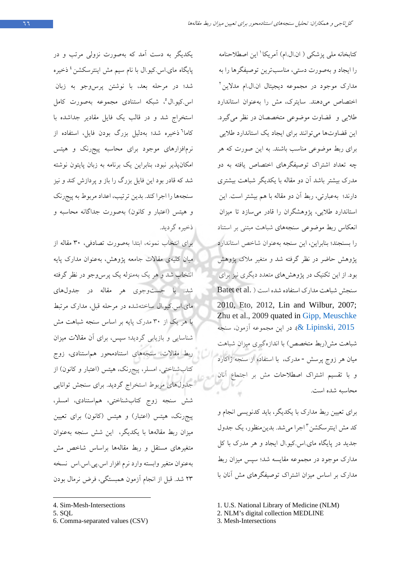یکدیگر به دست آمد که بهصورت نزولی مرتب و در پایگاه مای.اس.کیو.ال با نام سیم مش اینترسکشن<sup>، د</sup>خیره شد؛ در مرحله بعد، با نوشتن پرس وجو به زبان اس.کیو.ال°[،](#page-10-1) شبکه استنادی مجموعه بهصورت کامل استخراج شد و در قالب یک فایل مقادیر جداشده با کاما<sup>٬</sup> ذخیره شد؛ به دلیل بزرگ بودن فایل، استفاده از نرمافزارهاي موجود براي محاسبه پیجرنک و هیتس امکانپذیر نبود، بنابراین یک برنامه به زبان پایتون نوشته شد که قادر بود این فایل بزرگ را باز و پردازش کند و نیز سنجهها را اجرا کند. بدین ترتیب، اعداد مربوط به پیجرنک و هیتس (اعتبار و کانون) به صورت جداگانه محاسبه و ذخیره گردید.

براي انتخاب نمونه، ابتدا به صور 30ت تصادفی، مقاله از میان کلیهي مقالات جامعه پژوهش، به عنوان مدارك پایه انتخاب شد و هر یک بهمنزله یک پرسوجو در نظر گرفته شد. با جستوجوي هر مقاله در جدولهاي ماي.اس.کیو.ال ساختهشده در مرحله قبل، مدارک مرتبط 30با هر یک از مدرك پایه بر اساس سنجه شباهت مش شناسایی و بازیابی گردید؛ سپس، براي آن مقالات میزان ربط مقالات، سنجههاي استنادمحور هماستنادي، زوج کتابشناختی، امسلر، پیجرنک، هیتس (اعتبار و کانون) از جدول هاي مربوط استخراج گردید. براي سنجش توانایی شش سنجه زوج کتابشناختی، هم استنادی، امسلر، پیجرنک، هیتس (اعتبار) و هیتس (کانون) برای تعیین میزان ربط مقالهها با یکدیگر، این شش سنجه بهعنوان متغیرهاي مستقل و ربط مقالهها براساس شاخص مش به عنوان متغیر وابسته وارد نرم افزار اس یبی اس .اس نسخه ۲۳ شد. قبل از انجام آزمون همبستگی، فرض نرمال بودن

<span id="page-10-2"></span>6. Comma-separated values (CSV)

کتابخانه ملی پزشکی ( ان ال ام) آمریکا ' این اصطلاحنامه را ایجاد و به صورت تدستی، مناسب رین توصیفگ رها را به مدارک موجود در مجموعه دیجیتال ان.ال.ام مدلاین<sup>۲</sup> اختصاص می دهند. سایترك، مش را به عنوان استاندارد طلایی و قضاوت موضوعی متخصصان در نظر میگیرد. این قضاوتها می توانند برای ایجاد یک استاندارد طلایی برای ربط موضوعی مناسب باشند. به این صورت که هر چه تعداد اشتراك توصیفگرهاي اختصاص یافته به دو مدرک بیشتر باشد آن دو مقاله با یکدیگر شباهت بیشتری دارند؛ به عبارتی، ربط آن دو مقاله با هم بیشتر است. این استاندارد طلایی، پژوهشگران را قادر میسازد تا میزان انعکاس ربط موضوعی سنجه هاي شباهت مبتنی بر استناد را بسنجند ؛ بنابراین، این سنجه به عنوان شاخص استاندارد پژوهش حاضر در نظر گرفته شد و متغیر ملاك پژوهش بود. از این تکنیک در پژوهش هاي متعدد دیگري نیز براي mسنجش شباهت مدارك استفاده شده است ( .Batet et al 2010, Eto, 2012, Lin and Wilbur, 2007; Zhu et al., 2009 quated in [Gipp, Meuschke](#page-15-11)  در این مجموعه آزمون، سنجه (C . در این مجموعه آزمون، سنجه شباهت مش(ربط متخصص) با اندازهگیري میزان شباهت میان هر زوج پرسش - مدرك، با استفاده از سنجه ژاکارد و با تقسیم اشتراك اصطلاحات مش بر اجتماع آنان محاسبه شده است.

براي تعیین ربط مدارك با یکدیگر، باید کدنویسی انجام و کد مش اینترسکشن "اجرا می شد. بدین منظور، یک جدول جدید در پایگاه ماي.اس.کیو.ال ایجاد و هر مدرك با کل مدارك موجود در مجموعه مقایسه شد؛ سپس میزان ربط مدارك بر اساس میزان اشتراك توصیفگرهاي مش آنان با

3. Mesh-Intersections

<span id="page-10-0"></span>[<sup>4</sup>](#page-10-2). Sim-Mesh-Intersections

<span id="page-10-1"></span><sup>5.</sup> SQL

<sup>1.</sup> U.S. National Library of Medicine (NLM)

<sup>2.</sup> NLM's digital collection MEDLINE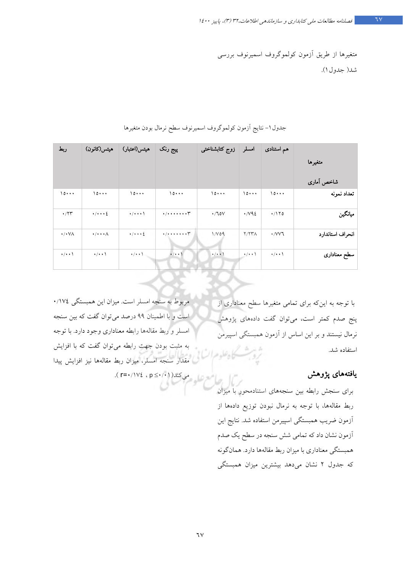متغیرها از طر قی آزمون کولموگروف اسمیرنوف بررسی 1جدول( شد ).

| ربط                  | هيتس(كانون)                        | هيتس(اعتبار)                  | پیج رنک                                                           | زوج كتابشناختى      | امسلر                | هم استنادی         |                  |  |
|----------------------|------------------------------------|-------------------------------|-------------------------------------------------------------------|---------------------|----------------------|--------------------|------------------|--|
|                      |                                    |                               |                                                                   |                     |                      |                    | متغيرها          |  |
|                      |                                    |                               |                                                                   |                     |                      |                    | شاخص آماری       |  |
| 10                   | 10                                 | 10                            | 10                                                                | 10                  | 10                   | 10                 | تعداد نمونه      |  |
| $\cdot$ /۲۳          | $\cdot/\cdot\cdot\cdot$ {          | $\cdot$ / $\cdot$ $\cdot$ \   | $\cdot$ / $\cdot$ $\cdot$ $\cdot$ $\cdot$ $\cdot$ $\cdot$ $\cdot$ | $\cdot$ /10 $V$     | $\cdot$ / $\vee$ 9 2 | $\cdot$ /170       | ميانگين          |  |
| $\cdot$ / $\cdot$ VA | $\cdot$ / $\cdot$ $\cdot$ $\wedge$ | $\cdot$ / $\cdot$ + $\cdot$ 2 | $*$ /******* $\mathcal{F}$                                        | 1/V09               | Y/YY                 | ۰/VV٦              | انحراف استاندارد |  |
| $\cdot/\cdot\cdot$   | $\cdot/\cdot\cdot$                 | $\cdot$ / $\cdot$ \           | $\cdot$ / $\cdot$ \                                               | $\cdot$ / $\cdot$ ) | $\cdot$ / $\cdot$ \  | $\cdot/\cdot\cdot$ | سطح معناداری     |  |

جدول 1- نتایج آزمون کولموگروف اسمیرنوف سطح نرمال بودن متغیرها

مربوط به سنجه امسلر است. یم زان نیا همبستگی 174/0 است و با اطمینان 99 درصد می توان گفت که یب ن سنجه امسلر و ربط مقالهها رابطه معنادار ي وجود دارد. با توجه به مثبت بودن جهت رابطه یم توان گفت که با افزایش مقدار سنجه امسلر، میزان ربط مقالهها نیز افزایش پیدا می کند( 1 ∙/∙≥ p ، ٤ // / r=۰/۱۷

با توجه به این که براي تمامی متغیرها سطح معناداري از پنج صدم کمتر است، می توان گفت دادههاي پژوهش نرمال نیستند و بر این اساس از آزمون همبستگی اسپیرمن استفاده شد.

#### یافتههای پژوهش

برای سنجش رابطه بین سنجههای استنادمحور با میزان ربط مقالهها، با توجه به نرمال نبودن عیتوز دادهها از آزمون ضریب همبستگی اسپیرمن استفاده شد. نتایج این آزمون نشان داد که تمامی شش سنجه در سطح کی صدم همبستگی معناداری با میزان ربط مقالهها دارد. همانگونه که جدول ۲ نشان می دهد بیشترین میزان همبستگی

٦۷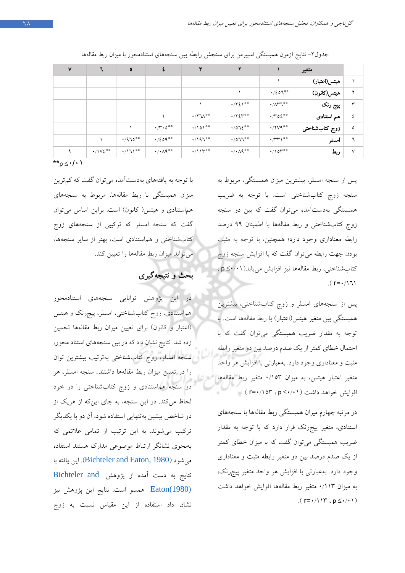| $\mathsf{v}$ | ٦                       | $\bullet$      | ٤                           | ٣                     | ۲                       |                                              | متغير          |        |
|--------------|-------------------------|----------------|-----------------------------|-----------------------|-------------------------|----------------------------------------------|----------------|--------|
|              |                         |                |                             |                       |                         |                                              | هيتس(اعتبار)   |        |
|              |                         |                |                             |                       |                         | $\cdot/207***$                               | هيتس(كانون)    | ۷      |
|              |                         |                |                             |                       | $\cdot$ /۲٤۱**          | $\cdot/\Lambda$ ry <sup>**</sup>             | پیج رنک        | ٣      |
|              |                         |                |                             | $\cdot$ /۲٦۸**        | $\cdot$ /۲٤٣**          | $\cdot$ / $\mathsf{r}\circ\mathsf{t}^{**}$   | هم استنادی     | ٤      |
|              |                         |                | $\cdot$ /۳ $\cdot$ 0**      | $\cdot$ /101**        | $.072***$               | $\cdot$ /۲۷۹**                               | زوج كتابشناختى | ٥      |
|              |                         | $4/970***$     | $\cdot/209***$              | $\cdot$ /197**        | $\cdot$ /077**          | $\cdot$ / $\mathsf{r} \mathsf{r} \mathsf{r}$ | امسلر          | ٦      |
|              | $\cdot/\sqrt{\xi^{**}}$ | $\cdot$ /171** | $\cdot/\cdot \wedge q^{**}$ | $\cdot$ /11 $\ast$ ** | $\cdot/\cdot\wedge$ 9** | $\cdot/\mathrm{10}$ r**                      | ربط            | $\vee$ |

جدول٢- نتایج آزمون همبستگی اسپیرمن برای سنجش رابطه بین سنجههای استنادمحور با میزان ربط مقالهها

\*\*p  $\leq \cdot / \cdot$ 

با توجه به یافته هاي بهدست آمده یم توان گفت که ترکم ین میزان همبستگی با ربط مقالهها، مربوط به سنجههای هماستنادی و هیتس( کانون) است. براین اساس میتوان گفت که سنجه امسلر که ترکیبی از سنجههای زوج کتاب شناختی و هماستنادی است، بهتر از سایر سنجهها، می تواند میزان ربط مقالهها را تعیین کند.

بحث و نتیجه گیري

در این پژوهش توانایی سنجههاي استنادمحور مه استنادي، زوج تابک شناختی، امسلر، پیج رنک و هیتس (اعتبار و کانون) براي تعیین میزان ربط مقالهها تخمین زده شد. نتایج نشان داد که در بین سنجههاي استناد محور، سنجه امسلر، زوج کتابشناختی بهترتیب بیشترین توان را در تعیین میزان ربط مقاله ها داشتند. سنجه امسلر، هر دو سنجه هم استنادي و زوج کتابشناختی را در خود لحاظ می کند. در این سنجه، به جاي اینکه از هریک از دو شاخص پیشین بهتنهایی استفاده شود، آن دو با یکدیگر ترکیب میشوند. به این ترتیب از تمامی علائمی که به نحوي نشانگر ارتباط موضوعی مدارك هستند استفاده (شود می [1980 ,Eaton and Bichteler](#page-7-0)(. این یافته با نتایج به دست آمده از پژوهش [and Bichteler](#page-7-0) [\(1980\)Eaton](#page-7-0) همسو است. نتایج این پژوهش نیز نشان داد استفاده از این مقیاس نسبت به زوج

پس از سنجه امسلر، بیشترین میزان همبستگی، مربوط به سنجه زوج کتاب شناختی است. با توجه به ضریب همبستگی بهدستآمده یم توان گفت که نیب دو سنجه زوج کتاب شناختی و ربط مقاله ها با اطمینان 99 درصد رابطه معناداری وجود دارد؛ همچنین، با توجه به مثبت بودن جهت رابطه یم توان گفت که با افزا شی سنجه زوج کتابشناختی، ربط مقالهها نیز افزایش مییابد(۱۰/۰≥ p)،  $(r = \cdot / 17)$ 

پس از سنجههای امسلر و زوج کتابشناختی، بیشترین همبستگی بین متغیر هیتس(اعتبار) با ربط مقالهها است. با توجه به مقدار ضر بی همبستگی یم توان گفت که با احتمال خطاي كمتر از یک صدم درصد بین دو متغیر رابطه مثبت و معناداري وجود دارد. به عبارتی با افزا شی هر واحد متغیر اعتبار هیتس، به میزان ۱۵۳/۰ متغیر ربط مقالهها افزایش خواهد داشت ( 101⁄2 ≥ p ، ۱۳=۰/۱۵۳).

در مرتبه چهارم میزان همبستگی ربط مقالهها با سنجههای استنادی، متغیر پیجرنک قرار دارد که با توجه به مقدار ضریب همبستگی می توان گفت که با میزان خطای کمتر از یک صدم درصد بین دو متغیر رابطه مثبت و معناداری وجود دارد. به عبارتی با افزایش هر واحد متغیر پیجرنک، به یم زان 113/0 متغیر ربط مقالهها افزا شی خواهد داشت .(  $r = \cdot / \cdot \gamma$ ,  $p \leq \cdot / \cdot \gamma$ )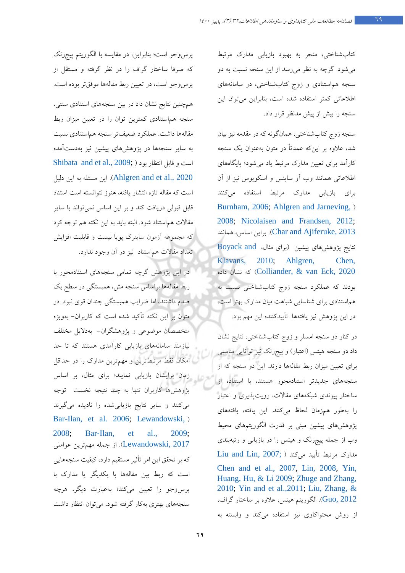کتابشناختی، منجر به بهبود بازیابی مدارك مرتبط میشود. گرچه به نظر میرسد از این سنجه نسبت به دو سنجه هم استنادي و زوج کتابشناختی، در سامانه هاي اطلاعاتی کمتر استفاده شده است، بنابراین می توان این سنجه را بیش از پیش مدنظر قرار داد.

سنجه زوج کتاب شناختی، همان گونه که در مقدمه نیز بیان شد، علاوه بر اینکه عمدتاً در متون به عنوان یک سنجه کارآمد براي تعیین مدارك مرتبط یاد میشود؛ پایگاه هاي اطلاعاتی همانند وب آو ساینس و اسکوپوس نیز از آن براي بازیابی مدارك مرتبط استفاده میکنند [Burnham, 2006;](#page-15-8) [Ahlgren and Jarneving,](#page-14-2) ) [2008;](#page-14-2) [Nicolaisen and Frandsen, 2012;](#page-17-6) 2013 ,Char and Ajiferuke). براین اساس، همانند نتایج پژوهش هاي پیشین (براي مثال، [andBoyack](#page-15-4)  [Klavans, 2010](#page-15-4)[;](#page-15-4) Ahlgren, Chen, ر 2020 Colliander, & van Eck, 2020 بودند که عملکرد سنجه زوج کتابشناخنی نسبت به هماستنادي براي شناسایی شباهت میان مدارك بهتر است، در این پژوهش نیز یافتهها تأییدکننده این مهم بود.

در کنار دو سنجه امسلر و زوج کتابشناختی، نتایج نشان داد دو سنجه هیتس (اعتبار) و پیجرنک نیز توانایی مناسبی براي تعیین میزان ربط مقاله ها دارند. این دو سنجه که از سنجههاي جدیدتر استنادمحور هستند، با استفاده از ساختار پیوندي شبکههاي مقالات، رویتپذیري و اعتبار را بهطور همزمان لحاظ میکنند. این یافته، یافتههای پژوهش هاي پیشین مبنی بر قدرت الگوریتمهاي محیط وب از جمله پیجرنک و هیتس را در بازیابی و رتبهبندی مدارك مرتبط تأ یید میکند ( [;](#page-15-12)[2007 ,Lin and Liu](#page-16-9) [Chen and et al., 2007,](#page-15-12) [Lin, 2008,](#page-16-9) [Yin,](#page-18-9)  [Huang, Hu, & Li 2009;](#page-18-9) [Zhuge and Zhang,](#page-18-3)  [2010;](#page-18-3) Yin [and et al.,2011;](#page-18-4) [Liu, Zhang, &](#page-17-4) الگوریتم هیتس، علاوه بر ساختار گراف، $\rm Guo, 2012$ از روش محتواکاوي نیز استفاده میکند و وابسته به

پرس وجو است؛ بنابراین، در مقایسه با الگوریتم پیجرنک که صرفا ساختار گراف را در نظر گرفته و مستقل از پرسوجو است، در تعیین ربط مقالهها موفقتر بوده است. همچنین نتایج نشان داد در بین سنجههاي استنادي سنتی، سنجه هماستنادي کمترین توان را در تعیین میزان ربط مقالهها داشت. عملکرد ضعیفتر سنجه هم استنادي نسبت به سایر سنجه ها در پژوهش هاي پیشین نیز هب دستآمده Shibata and et al.,  $2009$ ; ) است و قابل انتظار بود این مسئله به این دلیل (Ahlgren and et al., 2020 است که مقاله تازه انتشار یافته، هنوز نتوانسته است استناد قابل قبولی دریافت کند و بر این اساس نمی تواند با سایر مقالات هماستناد شود. البته باید به این نکته هم توجه کرد که مجموعه آزمون سایترك پویا نیست و قابلیت افزایش تعداد مقالات هماستناد نیز در آن وجود ندارد.

در این پژوهش گرچه تمامی سنجه هاي استنادمحور با ربط مقاله ها براساس سنجه مش، همبستگی در سطح یک صدم داشتند، اما ضرایب همبستگی چندان قوي نبود. در متون بر این نکته تأکید شده است که کاربران- بهویژه متخصصان موضوعی و پژوهشگران- بهدلایل مختلف نیازمند سامانه هاي بازیابی کارآمدي هستند که تا حد امکان فقط مرتبطترین و مهم ترین مدارك را در حداقل زمان برایشان بازیابی نمایند؛ براي مثال، بر اساس پژوهش ها کاربران تنها به چند نتیجه نخست توجه یم کنند و سایر نتایج بازیابی شده را نادیده میگیرند [Bar-Ilan, et al. 2006;](#page-15-2) [Lewandowski,](#page-16-2) ) [2008;](#page-16-2) Bar‐[Ilan, et al., 2009;](#page-15-3) Lewandowski, 2017). از جمله مهم ترین عواملی که بر تحقق این امر تأثیر مستقیم دارد، کیفیت سنجههایی است که ربط بین مقالهها با یکدیگر یا مدارك با پرس وجو را تعیین می کند؛ بهعبارت دیگر، هرچه سنجههاي بهتري به کار گرفته شود، میتوان انتظار داشت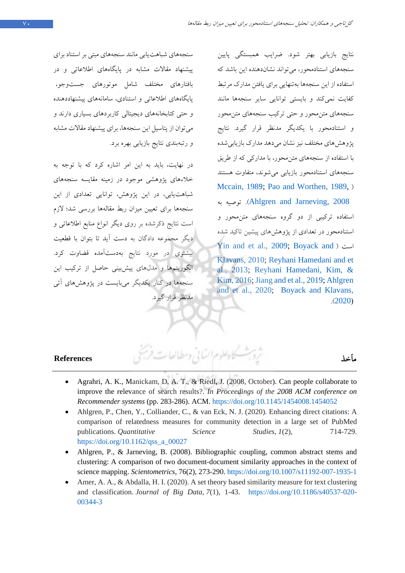نتایج بازیابی بهتر شود. ضرایب همبستگی پایین سنجههاي استنادمحور، می تواند نشان دهنده این باشد که استفاده از این سنجه ها به تنهایی براي یافتن مدارك مرتبط کفایت نمیکند و بایستی توانایی سایر سنجهها مانند سنجههاي متن محور و حتی ترکیب سنجه هاي متنمحور و استناد محور با یکدیگر مدنظر قرار گیرد. نتایج پژوهش هاي مختلف نيز نشان مي دهد مدارك بازيابي شده با استفاده از سنجههاي متنمحور، با مدارکی که از طریق سنجههاي استنادمحور بازیابی میشوند، متفاوت هستند [Mccain, 198](#page-17-8)9; [Pao and Worthen, 1989,](#page-17-9) ) به توصیه .)Ahlgren and [Jarneving, 2008](#page-14-2) استفاده ترکیبی از دو گروه سنجههاي متن محور و استنادمحور در تعدادي از پژوهش هاي پیشین تاکید شده [Yin and et al., 2009;](#page-18-9) [Boyack and](#page-15-4) ) است [Klavans, 2010;](#page-15-4) [Reyhani Hamedani and et](#page-17-2)  [al., 2013;](#page-17-2) [Reyhani Hamedani, Kim, &](#page-17-2)  [Kim, 2016;](#page-17-2) [Jiang and et al., 2019;](#page-16-10) [Ahlgren](#page-14-1)  [and et al., 2020;](#page-14-1) [Boyack and Klavans,](#page-15-13)  .([2020\)](#page-15-13)

# مآخذ **References**

- <span id="page-14-1"></span>• Agrahri, A. K., Manickam, D. A. T., & Riedl, J. (2008, October). Can people collaborate to improve the relevance of search results?. *In Proceedings of the 2008 ACM conference on Recommender systems* (pp. 283-286). ACM. <https://doi.org/10.1145/1454008.1454052>
- Ahlgren, P., Chen, Y., Colliander, C., & van Eck, N. J. (2020). Enhancing direct citations: A comparison of relatedness measures for community detection in a large set of PubMed publications. *Quantitative Science Studies*, *1*(2), 714-729. [https://doi.org/10.1162/qss\\_a\\_00027](https://doi.org/10.1162/qss_a_00027)
- <span id="page-14-2"></span>• Ahlgren, P., & Jarneving, B. (2008). Bibliographic coupling, common abstract stems and clustering: A comparison of two document-document similarity approaches in the context of science mapping. *Scientometrics*, 76(2), 273-290.<https://doi.org/10.1007/s11192-007-1935-1>
- <span id="page-14-0"></span>• Amer, A. A., & Abdalla, H. I. (2020). A set theory based similarity measure for text clustering and classification. *Journal of Big Data*, *7*(1), 1-43. https://doi.org/10.1186/s40537-020- 00344-3

سنجههاي شباهتیابی مانند سنجه هاي مبتی بر استناد براي پیشنهاد مقالات مشابه در پایگاه هاي اطلاعاتی و در بافتارهاي مختلف شامل موتورهاي جستوجو، پایگاههای اطلاعاتی و استنادی، سامانههای پیشنهاددهنده و حتی کتابخانههای دیجیتالی کاربردهای بسیاری دارند و می توان از پتاسيل اين سنجهها، براي پيشنهاد مقالات مشابه و رتبهبندی نتایج بازیابی بهره برد.

،در نهایت باید به این امر اشاره کرد که با توجه به خلاءهاي پژوهشی موجود در زمینه مقایسه سنجههاي شباهت یابی، در این پژوهش، توانایی تعدادي از این سنجهها براي تعیین میزان ربط مقالهها بررسی شد؛ لازم است نتایج ذکرشده بر روي دیگر انواع منابع اطلاعاتی و دیگر مجموعه دادگان به دست آید تا بتوان با قطعیت بیشتري در مورد نتایج بهدستآمده قضاوت کرد. الگوریتمها و مدلهاي پیشبینی حاصل از ترکیب این سنجهها در کنار یکدیگر میبایست در پژوهش هاي آتی مدنظر قرار گیرد.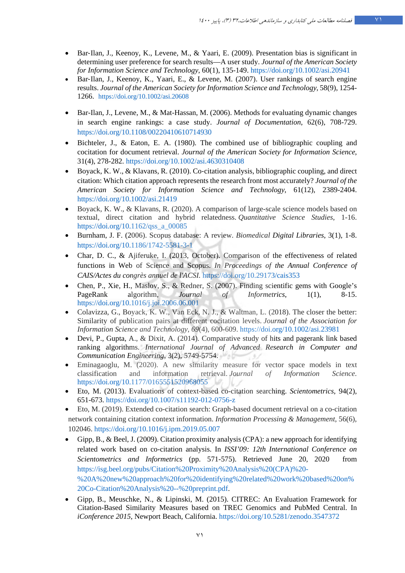- <span id="page-15-3"></span>• Bar‐Ilan, J., Keenoy, K., Levene, M., & Yaari, E. (2009). Presentation bias is significant in determining user preference for search results—A user study. *Journal of the American Society for Information Science and Technology*, 60(1), 135-149.<https://doi.org/10.1002/asi.20941>
- <span id="page-15-1"></span>• Bar‐Ilan, J., Keenoy, K., Yaari, E., & Levene, M. (2007). User rankings of search engine results. *Journal of the American Society for Information Science and Technology*, 58(9), 1254- 1266. <https://doi.org/10.1002/asi.20608>
- <span id="page-15-2"></span>• Bar-Ilan, J., Levene, M., & Mat-Hassan, M. (2006). Methods for evaluating dynamic changes in search engine rankings: a case study. *Journal of Documentation*, 62(6), 708-729. <https://doi.org/10.1108/00220410610714930>
- Bichteler, J., & Eaton, E. A. (1980). The combined use of bibliographic coupling and cocitation for document retrieval. *Journal of the American Society for Information Science*, 31(4), 278-282. <https://doi.org/10.1002/asi.4630310408>
- <span id="page-15-4"></span>• Boyack, K. W., & Klavans, R. (2010). Co‐citation analysis, bibliographic coupling, and direct citation: Which citation approach represents the research front most accurately? *Journal of the American Society for Information Science and Technology*, 61(12), 2389-2404. <https://doi.org/10.1002/asi.21419>
- <span id="page-15-13"></span>• Boyack, K. W., & Klavans, R. (2020). A comparison of large-scale science models based on textual, direct citation and hybrid relatedness. *Quantitative Science Studies*, 1-16. [https://doi.org/10.1162/qss\\_a\\_00085](https://doi.org/10.1162/qss_a_00085)
- <span id="page-15-8"></span>• Burnham, J. F. (2006). Scopus database: A review. *Biomedical Digital Libraries*, 3(1), 1-8. https://doi.org/10.1186/1742-5581-3-1
- <span id="page-15-9"></span>• Char, D. C., & Ajiferuke, I. (2013, October). Comparison of the effectiveness of related functions in Web of Science and Scopus. *In Proceedings of the Annual Conference of CAIS/Actes du congrès annuel de l'ACSI.* <https://doi.org/10.29173/cais353>
- <span id="page-15-12"></span>• Chen, P., Xie, H., Maslov, S., & Redner, S. (2007). Finding scientific gems with Google's PageRank algorithm*, Journal of Informetrics*, 1(1), 8-15. <https://doi.org/10.1016/j.joi.2006.06.001>
- <span id="page-15-7"></span>• Colavizza, G., Boyack, K. W., Van Eck, N. J., & Waltman, L. (2018). The closer the better: Similarity of publication pairs at different cocitation levels. *Journal of the Association for Information Science and Technology*, *69*(4), 600-609.<https://doi.org/10.1002/asi.23981>
- <span id="page-15-6"></span>• Devi, P., Gupta, A., & Dixit, A. (2014). Comparative study of hits and pagerank link based ranking algorithms. *International Journal of Advanced Research in Computer and Communication Engineering*, 3(2), 5749-5754.
- <span id="page-15-0"></span>• Eminagaoglu, M. (2020). A new similarity measure for vector space models in text classification and information retrieval. *Journal of Information Science*. <https://doi.org/10.1177/0165551520968055>
- Eto, M. (2013). Evaluations of context-based co-citation searching. *Scientometrics*, 94(2), 651-673. https://doi.org/10.1007/s11192-012-0756-z
- <span id="page-15-5"></span>• Eto, M. (2019). Extended co-citation search: Graph-based document retrieval on a co-citation network containing citation context information. *Information Processing & Management*, 56(6), 102046[. https://doi.org/10.1016/j.ipm.2019.05.007](https://doi.org/10.1016/j.ipm.2019.05.007)
- <span id="page-15-10"></span>• Gipp, B., & Beel, J. (2009). Citation proximity analysis (CPA): a new approach for identifying related work based on co-citation analysis. In *ISSI'09: 12th International Conference on Scientometrics and Informetrics* (pp. 571-575). Retrieved June 20, 2020 from [https://isg.beel.org/pubs/Citation%20Proximity%20Analysis%20\(CPA\)%20-](https://isg.beel.org/pubs/Citation%20Proximity%20Analysis%20(CPA)%20-%20A%20new%20approach%20for%20identifying%20related%20work%20based%20on%20Co-Citation%20Analysis%20--%20preprint.pdf) [%20A%20new%20approach%20for%20identifying%20related%20work%20based%20on%](https://isg.beel.org/pubs/Citation%20Proximity%20Analysis%20(CPA)%20-%20A%20new%20approach%20for%20identifying%20related%20work%20based%20on%20Co-Citation%20Analysis%20--%20preprint.pdf) [20Co-Citation%20Analysis%20--%20preprint.pdf.](https://isg.beel.org/pubs/Citation%20Proximity%20Analysis%20(CPA)%20-%20A%20new%20approach%20for%20identifying%20related%20work%20based%20on%20Co-Citation%20Analysis%20--%20preprint.pdf)
- <span id="page-15-11"></span>• Gipp, B., Meuschke, N., & Lipinski, M. (2015). CITREC: An Evaluation Framework for Citation-Based Similarity Measures based on TREC Genomics and PubMed Central. In *iConference 2015*, Newport Beach, California. https://doi.org/10.5281/zenodo.3547372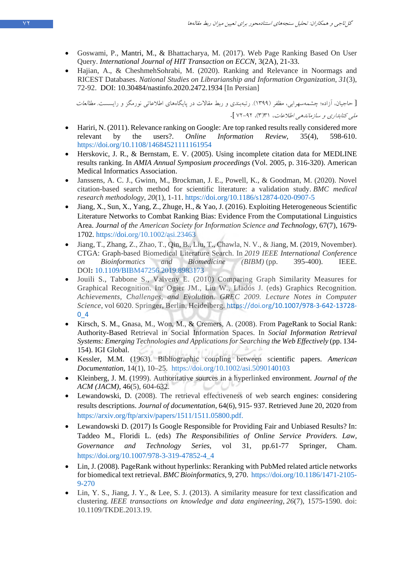- <span id="page-16-12"></span>• Goswami, P., Mantri, M., & Bhattacharya, M. (2017). Web Page Ranking Based On User Query. *International Journal of HIT Transaction on ECCN*, 3(2A), 21-33.
- Hajian, A., & CheshmehSohrabi, M. (2020). Ranking and Relevance in Noormags and RICEST Databases. *National Studies on Librarianship and Information Organization*, *31*(3), 72-92. DOI: 10.30484/nastinfo.2020.2472.1934 [In Persian]

[ حاجیان، آزاده؛ چشمهسهرابی، مظفر (۱۳۹۹). رتبهبندي و ربط مقالات در پایگاههاي اطلاعاتی نورمگز و رایسست. *مطالعات* ملی کتابداري و سازماندهی اطلاعات، 31 3( )، 72-92 ].

- <span id="page-16-1"></span>• Hariri, N. (2011). Relevance ranking on Google: Are top ranked results really considered more relevant by the users?. *Online Information Review*, 35(4), 598-610. <https://doi.org/10.1108/14684521111161954>
- <span id="page-16-8"></span>• Herskovic, J. R., & Bernstam, E. V. (2005). Using incomplete citation data for MEDLINE results ranking. In *AMIA Annual Symposium proceedings* (Vol. 2005, p. 316-320). American Medical Informatics Association.
- <span id="page-16-11"></span>• Janssens, A. C. J., Gwinn, M., Brockman, J. E., Powell, K., & Goodman, M. (2020). Novel citation-based search method for scientific literature: a validation study. *BMC medical research methodology*, *20*(1), 1-11. https://doi.org/10.1186/s12874-020-0907-5
- <span id="page-16-5"></span>• Jiang, X., Sun, X., Yang, Z., Zhuge, H., & Yao, J. (2016). Exploiting Heterogeneous Scientific Literature Networks to Combat Ranking Bias: Evidence From the Computational Linguistics Area. *Journal of the American Society for Information Science and Technology*, 67(7), 1679- 1702.<https://doi.org/10.1002/asi.23463>
- <span id="page-16-10"></span>• Jiang, T., Zhang, Z., Zhao, T., Qin, B., Liu, T., Chawla, N. V., & Jiang, M. (2019, November). CTGA: Graph-based Biomedical Literature Search. In *2019 IEEE International Conference on Bioinformatics and Biomedicine (BIBM)* (pp. 395-400). IEEE. DOI**:** [10.1109/BIBM47256.2019.8983173](https://doi.org/10.1109/BIBM47256.2019.8983173)
- Jouili S., Tabbone S., Valveny E. (2010) Comparing Graph Similarity Measures for Graphical Recognition. In: Ogier JM., Liu W., Lladós J. (eds) Graphics Recognition*. Achievements, Challenges, and Evolution. GREC 2009. Lecture Notes in Computer Science*, vol 6020. Springer, Berlin, Heidelberg. https://doi.org/10.1007/978-3-642-13728- 0\_4
- <span id="page-16-7"></span>• Kirsch, S. M., Gnasa, M., Won, M., & Cremers, A. (2008). From PageRank to Social Rank: Authority-Based Retrieval in Social Information Spaces. In *Social Information Retrieval Systems: Emerging Technologies and Applications for Searching the Web Effectively* (pp. 134- 154). IGI Global.
- <span id="page-16-4"></span>• Kessler, M.M. (1963). Bibliographic coupling between scientific papers. *American Documentation*, 14(1), 10–25. <https://doi.org/10.1002/asi.5090140103>
- <span id="page-16-6"></span>• Kleinberg, J. M. (1999). Authoritative sources in a hyperlinked environment. *Journal of the ACM (JACM)*, 46(5), 604-632.
- <span id="page-16-2"></span>Lewandowski, D. (2008). The retrieval effectiveness of web search engines: considering results descriptions. *Journal of documentation*, 64(6), 915- 937. Retrieved June 20, 2020 from https://arxiv.org/ftp/arxiv/papers/1511/1511.05800.pdf.
- <span id="page-16-3"></span>• Lewandowski D. (2017) Is Google Responsible for Providing Fair and Unbiased Results? In: Taddeo M., Floridi L. (eds) *The Responsibilities of Online Service Providers. Law, Governance and Technology Series*, vol 31, pp.61-77 Springer, Cham. https://doi.org/10.1007/978-3-319-47852-4\_4
- <span id="page-16-9"></span>• Lin, J. (2008). PageRank without hyperlinks: Reranking with PubMed related article networks for biomedical text retrieval. *BMC Bioinformatics*, 9, 270. [https://doi.org/10.1186/1471-2105-](https://doi.org/10.1186/1471-2105-9-270) [9-270](https://doi.org/10.1186/1471-2105-9-270)
- <span id="page-16-0"></span>• Lin, Y. S., Jiang, J. Y., & Lee, S. J. (2013). A similarity measure for text classification and clustering. *IEEE transactions on knowledge and data engineering*, *26*(7), 1575-1590. doi: 10.1109/TKDE.2013.19.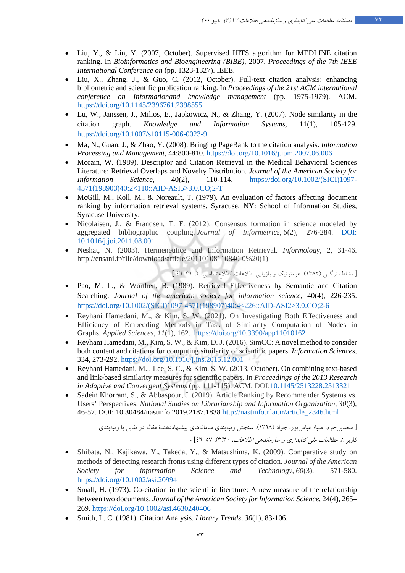- Liu, Y., & Lin, Y. (2007, October). Supervised HITS algorithm for MEDLINE citation ranking. In *Bioinformatics and Bioengineering (BIBE)*, 2007. *Proceedings of the 7th IEEE International Conference on* (pp. 1323-1327). IEEE.
- <span id="page-17-4"></span>• Liu, X., Zhang, J., & Guo, C. (2012, October). Full-text citation analysis: enhancing bibliometric and scientific publication ranking. In *Proceedings of the 21st ACM international conference on Informationand knowledge management* (pp. 1975-1979). ACM. <https://doi.org/10.1145/2396761.2398555>
- <span id="page-17-7"></span>• Lu, W., Janssen, J., Milios, E., Japkowicz, N., & Zhang, Y. (2007). Node similarity in the citation graph. *Knowledge and Information Systems*, 11(1), 105-129. https://doi.org/10.1007/s10115-006-0023-9
- <span id="page-17-5"></span>• Ma, N., Guan, J., & Zhao, Y. (2008). Bringing PageRank to the citation analysis. *Information Processing and Management*, 44:800-810.<https://doi.org/10.1016/j.ipm.2007.06.006>
- <span id="page-17-8"></span>• Mccain, W. (1989). Descriptor and Citation Retrieval in the Medical Behavioral Sciences Literature: Retrieval Overlaps and Novelty Distribution. *Journal of the American Society for Information Science*, 40(2), 110-114. [https://doi.org/10.1002/\(SICI\)1097-](https://doi.org/10.1002/(SICI)1097-4571(198903)40:2%3C110::AID-ASI5%3E3.0.CO;2-T) [4571\(198903\)40:2<110::AID-ASI5>3.0.CO;2-T](https://doi.org/10.1002/(SICI)1097-4571(198903)40:2%3C110::AID-ASI5%3E3.0.CO;2-T)
- <span id="page-17-0"></span>• McGill, M., Koll, M., & Noreault, T. (1979). An evaluation of factors affecting document ranking by information retrieval systems, Syracuse, NY: School of Information Studies, Syracuse University.
- <span id="page-17-6"></span>• Nicolaisen, J., & Frandsen, T. F. (2012). Consensus formation in science modeled by aggregated bibliographic coupling. *Journal of Informetrics*, *6*(2), 276-284. DOI: 10.1016/j.joi.2011.08.001
- Neshat, N. (2003). Hermeneutice and Information Retrieval. *Informology*, 2, 31-46. http://ensani.ir/file/download/article/20110108110840-0%20(1)

[ نشاط، نرگس (١٣٨٢). هرمنوتیک و بازیابی اطلاعات. اطلاع شناسی، ۲، ۳۱-٤٦ ].

- <span id="page-17-9"></span>• Pao, M. L., & Worthen, B. (1989). Retrieval Effectiveness by Semantic and Citation Searching. *Journal of the american society for information science*, 40(4), 226-235. [https://doi.org/10.1002/\(SICI\)1097-4571\(198907\)40:4<226::AID-ASI2>3.0.CO;2-6](https://doi.org/10.1002/(SICI)1097-4571(198907)40:4%3C226::AID-ASI2%3E3.0.CO;2-6)
- <span id="page-17-2"></span>• Reyhani Hamedani, M., & Kim, S. W. (2021). On Investigating Both Effectiveness and Efficiency of Embedding Methods in Task of Similarity Computation of Nodes in Graphs. *Applied Sciences*, *11*(1), 162. <https://doi.org/10.3390/app11010162>
- Reyhani Hamedani, M., Kim, S. W., & Kim, D. J. (2016). SimCC: A novel method to consider both content and citations for computing similarity of scientific papers. *Information Sciences*, 334, 273-292.<https://doi.org/10.1016/j.ins.2015.12.001>
- Reyhani Hamedani, M.., Lee, S. C., & Kim, S. W. (2013, October). On combining text-based and link-based similarity measures for scientific papers. In *Proceedings of the 2013 Research in Adaptive and Convergent Systems* (pp. 111-115). ACM. DOI[:10.1145/2513228.2513321](http://dx.doi.org/10.1145/2513228.2513321)
- Sadein Khorram, S., & Abbaspour, J. (2019). Article Ranking by Recommender Systems vs. Users' Perspectives. *National Studies on Librarianship and Information Organization*, *30*(3), 46-57. DOI: 10.30484/nastinfo.2019.2187.1838 [http://nastinfo.nlai.ir/article\\_2346.html](http://nastinfo.nlai.ir/article_2346.html)

[ سعدینخرم، صبا؛ عباسپور، جواد (1398). سنجش رتبهبندي سامانههاي پیشنهاددهندة مقاله در تقابل با رتبهبندي

کاربران . مطالعات ملی کتابداري و سازماندهی اطلاعات، 30 3( )، 46-57] .

- <span id="page-17-3"></span>• Shibata, N., Kajikawa, Y., Takeda, Y., & Matsushima, K. (2009). Comparative study on methods of detecting research fronts using different types of citation. *Journal of the American Society for information Science and Technology*, *60*(3), 571-580. <https://doi.org/10.1002/asi.20994>
- Small, H. (1973). Co-citation in the scientific literature: A new measure of the relationship between two documents. *Journal of the American Society for Information Science*, 24(4), 265– 269.<https://doi.org/10.1002/asi.4630240406>
- <span id="page-17-1"></span>• Smith, L. C. (1981). Citation Analysis. *Library Trends*, *30*(1), 83-106.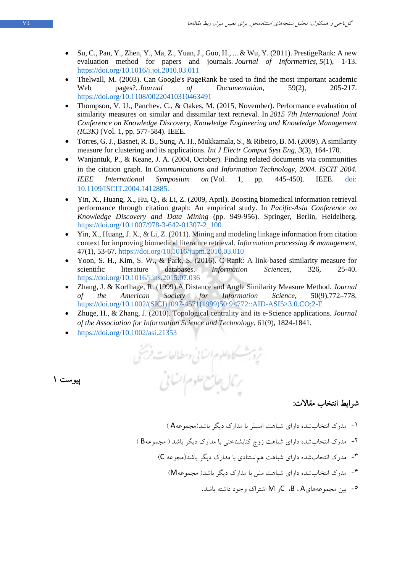- <span id="page-18-2"></span>• Su, C., Pan, Y., Zhen, Y., Ma, Z., Yuan, J., Guo, H., ... & Wu, Y. (2011). PrestigeRank: A new evaluation method for papers and journals. *Journal of Informetrics*, *5*(1), 1-13. <https://doi.org/10.1016/j.joi.2010.03.011>
- <span id="page-18-8"></span>• Thelwall, M. (2003). Can Google's PageRank be used to find the most important academic Web pages?. *Journal of Documentation*, 59(2), 205-217. <https://doi.org/10.1108/00220410310463491>
- <span id="page-18-6"></span>• Thompson, V. U., Panchev, C., & Oakes, M. (2015, November). Performance evaluation of similarity measures on similar and dissimilar text retrieval. In *2015 7th International Joint Conference on Knowledge Discovery, Knowledge Engineering and Knowledge Management (IC3K)* (Vol. 1, pp. 577-584). IEEE.
- <span id="page-18-1"></span>• Torres, G. J., Basnet, R. B., Sung, A. H., Mukkamala, S., & Ribeiro, B. M. (2009). A similarity measure for clustering and its applications. *Int J Electr Comput Syst Eng*, *3*(3), 164-170.
- <span id="page-18-7"></span>• Wanjantuk, P., & Keane, J. A. (2004, October). Finding related documents via communities in the citation graph. In *Communications and Information Technology, 2004. ISCIT 2004. IEEE International Symposium on* (Vol. 1, pp. 445-450). IEEE. [doi:](https://ieeexplore.ieee.org/document/1412885)  [10.1109/ISCIT.2004.1412885.](https://ieeexplore.ieee.org/document/1412885)
- <span id="page-18-9"></span>• Yin, X., Huang, X., Hu, Q., & Li, Z. (2009, April). Boosting biomedical information retrieval performance through citation graph: An empirical study. In *Pacific-Asia Conference on Knowledge Discovery and Data Mining* (pp. 949-956). Springer, Berlin, Heidelberg. [https://doi.org/10.1007/978-3-642-01307-2\\_100](https://doi.org/10.1007/978-3-642-01307-2_100)
- <span id="page-18-4"></span>• Yin, X., Huang, J. X., & Li, Z. (2011). Mining and modeling linkage information from citation context for improving biomedical literature retrieval. *Information processing & management*, 47(1), 53-67.<https://doi.org/10.1016/j.ipm.2010.03.010>
- <span id="page-18-5"></span>• Yoon, S. H., Kim, S. W., & Park, S. (2016). C-Rank: A link-based similarity measure for scientific literature databases. *Information Sciences*, 326, 25-40. <https://doi.org/10.1016/j.ins.2015.07.036>
- <span id="page-18-0"></span>• Zhang, J. & Korfhage, R. (1999).A Distance and Angle Similarity Measure Method. *Journal of the American Society for Information Science*, 50(9),772–778. [https://doi.org/10.1002/\(SICI\)1097-4571\(1999\)50:9<772::AID-ASI5>3.0.CO;2-E](https://doi.org/10.1002/(SICI)1097-4571(1999)50:9%3C772::AID-ASI5%3E3.0.CO;2-E)
- <span id="page-18-3"></span>• Zhuge, H., & Zhang, J. (2010). Topological centrality and its e‐Science applications. *Journal of the Association for Information Science and Technology*, 61(9), 1824-1841.
- <https://doi.org/10.1002/asi.21353>

پیوست ۱

ثروبث كاهلوم انسانى ومطالعات فرسخى ربال جامع علوم ات پی

### شرايط انتخاب مقالات:

- -۱ مدرك انتخاب شده دارا ي شباهت امسلر با مدارك دیگر با (شد مجموعهA (
- -۲ درك انتخاب م شده دارا ي شباهت زوج کتابشناختی یبا مدارك د گر باشد ( مجموعهB (
	- -۳ مدرك انتخاب شده دارا ي شباهت هماستنادي یبا مدارك د گر باشد(مجوعه C (
		- -۴ مدرك انتخاب شده دارا ي شباهت مش یبا مدارك د گر باشد( مجموعهM (
			- میز مجموعههای B ، A، اشتراک وجود داشته باشد.